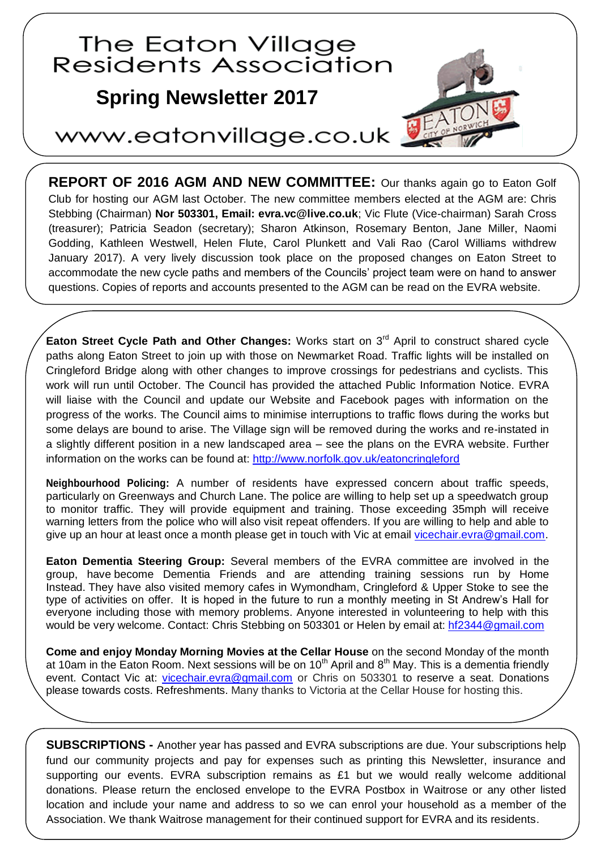## The Eaton Village **Residents Association**

## **Spring Newsletter 2015 Spring Newsletter 2017**

## www.eatonvillage.co.uk

**REPORT OF 2016 AGM AND NEW COMMITTEE:** Our thanks again go to Eaton Golf Club for hosting our AGM last October. The new committee members elected at the AGM are: Chris Stebbing (Chairman) **Nor 503301, Email: evra.vc@live.co.uk**; Vic Flute (Vice-chairman) Sarah Cross (treasurer); Patricia Seadon (secretary); Sharon Atkinson, Rosemary Benton, Jane Miller, Naomi Godding, Kathleen Westwell, Helen Flute, Carol Plunkett and Vali Rao (Carol Williams withdrew January 2017). A very lively discussion took place on the proposed changes on Eaton Street to accommodate the new cycle paths and members of the Councils' project team were on hand to answer questions. Copies of reports and accounts presented to the AGM can be read on the EVRA website.

**Eaton Street Cycle Path and Other Changes:** Works start on 3<sup>rd</sup> April to construct shared cycle paths along Eaton Street to join up with those on Newmarket Road. Traffic lights will be installed on Cringleford Bridge along with other changes to improve crossings for pedestrians and cyclists. This work will run until October. The Council has provided the attached Public Information Notice. EVRA will liaise with the Council and update our Website and Facebook pages with information on the progress of the works. The Council aims to minimise interruptions to traffic flows during the works but some delays are bound to arise. The Village sign will be removed during the works and re-instated in a slightly different position in a new landscaped area – see the plans on the EVRA website. Further information on the works can be found at:<http://www.norfolk.gov.uk/eatoncringleford>

**Neighbourhood Policing:** A number of residents have expressed concern about traffic speeds, particularly on Greenways and Church Lane. The police are willing to help set up a speedwatch group to monitor traffic. They will provide equipment and training. Those exceeding 35mph will receive warning letters from the police who will also visit repeat offenders. If you are willing to help and able to give up an hour at least once a month please get in touch with Vic at email [vicechair.evra@gmail.com.](mailto:vicechair.evra@gmail.com)

**Eaton Dementia Steering Group:** Several members of the EVRA committee are involved in the group, have become Dementia Friends and are attending training sessions run by Home Instead. They have also visited memory cafes in Wymondham, Cringleford & Upper Stoke to see the type of activities on offer. It is hoped in the future to run a monthly meeting in St Andrew's Hall for everyone including those with memory problems. Anyone interested in volunteering to help with this would be very welcome. Contact: Chris Stebbing on 503301 or Helen by email at: [hf2344@gmail.com](mailto:hf2344@gmail.com)

**Come and enjoy Monday Morning Movies at the Cellar House** on the second Monday of the month at 10am in the Eaton Room. Next sessions will be on  $10<sup>th</sup>$  April and  $8<sup>th</sup>$  May. This is a dementia friendly event. Contact Vic at: [vicechair.evra@gmail.com](mailto:contactvicechair.evra@gmail.com) or Chris on 503301 to reserve a seat. Donations please towards costs. Refreshments. Many thanks to Victoria at the Cellar House for hosting this.

**SUBSCRIPTIONS -** Another year has passed and EVRA subscriptions are due. Your subscriptions help fund our community projects and pay for expenses such as printing this Newsletter, insurance and supporting our events. EVRA subscription remains as £1 but we would really welcome additional donations. Please return the enclosed envelope to the EVRA Postbox in Waitrose or any other listed location and include your name and address to so we can enrol your household as a member of the Association. We thank Waitrose management for their continued support for EVRA and its residents.